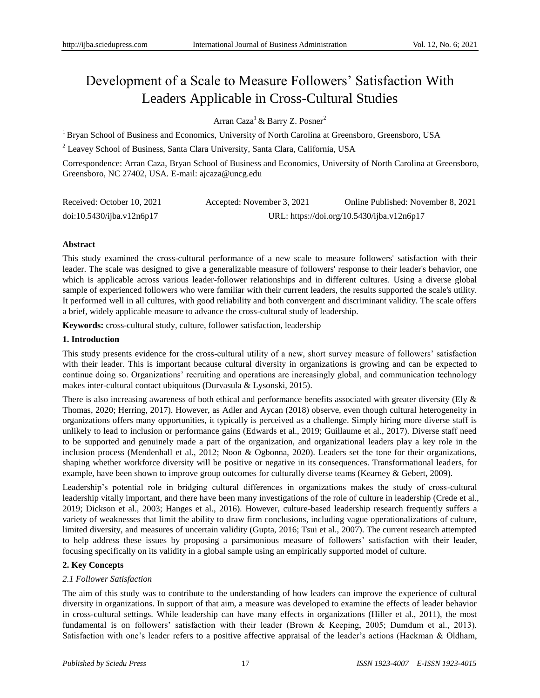# Development of a Scale to Measure Followers' Satisfaction With Leaders Applicable in Cross-Cultural Studies

Arran Caza<sup>1</sup> & Barry Z. Posner<sup>2</sup>

<sup>1</sup> Bryan School of Business and Economics, University of North Carolina at Greensboro, Greensboro, USA

<sup>2</sup> Leavey School of Business, Santa Clara University, Santa Clara, California, USA

Correspondence: Arran Caza, Bryan School of Business and Economics, University of North Carolina at Greensboro, Greensboro, NC 27402, USA. E-mail: ajcaza@uncg.edu

| Received: October 10, 2021 | Accepted: November 3, 2021                 | Online Published: November 8, 2021 |  |  |  |
|----------------------------|--------------------------------------------|------------------------------------|--|--|--|
| doi:10.5430/ijba.v12n6p17  | URL: https://doi.org/10.5430/ijba.v12n6p17 |                                    |  |  |  |

## **Abstract**

This study examined the cross-cultural performance of a new scale to measure followers' satisfaction with their leader. The scale was designed to give a generalizable measure of followers' response to their leader's behavior, one which is applicable across various leader-follower relationships and in different cultures. Using a diverse global sample of experienced followers who were familiar with their current leaders, the results supported the scale's utility. It performed well in all cultures, with good reliability and both convergent and discriminant validity. The scale offers a brief, widely applicable measure to advance the cross-cultural study of leadership.

**Keywords:** cross-cultural study, culture, follower satisfaction, leadership

#### **1. Introduction**

This study presents evidence for the cross-cultural utility of a new, short survey measure of followers' satisfaction with their leader. This is important because cultural diversity in organizations is growing and can be expected to continue doing so. Organizations' recruiting and operations are increasingly global, and communication technology makes inter-cultural contact ubiquitous (Durvasula & Lysonski, 2015).

There is also increasing awareness of both ethical and performance benefits associated with greater diversity (Ely & Thomas, 2020; Herring, 2017). However, as Adler and Aycan (2018) observe, even though cultural heterogeneity in organizations offers many opportunities, it typically is perceived as a challenge. Simply hiring more diverse staff is unlikely to lead to inclusion or performance gains (Edwards et al., 2019; Guillaume et al., 2017). Diverse staff need to be supported and genuinely made a part of the organization, and organizational leaders play a key role in the inclusion process (Mendenhall et al., 2012; Noon & Ogbonna, 2020). Leaders set the tone for their organizations, shaping whether workforce diversity will be positive or negative in its consequences. Transformational leaders, for example, have been shown to improve group outcomes for culturally diverse teams (Kearney & Gebert, 2009).

Leadership's potential role in bridging cultural differences in organizations makes the study of cross-cultural leadership vitally important, and there have been many investigations of the role of culture in leadership (Crede et al., 2019; Dickson et al., 2003; Hanges et al., 2016). However, culture-based leadership research frequently suffers a variety of weaknesses that limit the ability to draw firm conclusions, including vague operationalizations of culture, limited diversity, and measures of uncertain validity (Gupta, 2016; Tsui et al., 2007). The current research attempted to help address these issues by proposing a parsimonious measure of followers' satisfaction with their leader, focusing specifically on its validity in a global sample using an empirically supported model of culture.

# **2. Key Concepts**

# *2.1 Follower Satisfaction*

The aim of this study was to contribute to the understanding of how leaders can improve the experience of cultural diversity in organizations. In support of that aim, a measure was developed to examine the effects of leader behavior in cross-cultural settings. While leadership can have many effects in organizations (Hiller et al., 2011), the most fundamental is on followers' satisfaction with their leader (Brown & Keeping, 2005; Dumdum et al., 2013). Satisfaction with one's leader refers to a positive affective appraisal of the leader's actions (Hackman & Oldham,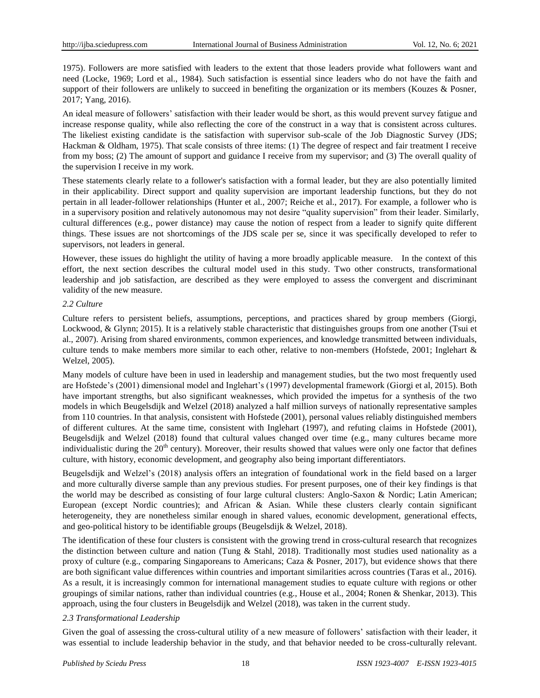1975). Followers are more satisfied with leaders to the extent that those leaders provide what followers want and need (Locke, 1969; Lord et al., 1984). Such satisfaction is essential since leaders who do not have the faith and support of their followers are unlikely to succeed in benefiting the organization or its members (Kouzes & Posner, 2017; Yang, 2016).

An ideal measure of followers' satisfaction with their leader would be short, as this would prevent survey fatigue and increase response quality, while also reflecting the core of the construct in a way that is consistent across cultures. The likeliest existing candidate is the satisfaction with supervisor sub-scale of the Job Diagnostic Survey (JDS; Hackman & Oldham, 1975). That scale consists of three items: (1) The degree of respect and fair treatment I receive from my boss; (2) The amount of support and guidance I receive from my supervisor; and (3) The overall quality of the supervision I receive in my work.

These statements clearly relate to a follower's satisfaction with a formal leader, but they are also potentially limited in their applicability. Direct support and quality supervision are important leadership functions, but they do not pertain in all leader-follower relationships (Hunter et al., 2007; Reiche et al., 2017). For example, a follower who is in a supervisory position and relatively autonomous may not desire "quality supervision" from their leader. Similarly, cultural differences (e.g., power distance) may cause the notion of respect from a leader to signify quite different things. These issues are not shortcomings of the JDS scale per se, since it was specifically developed to refer to supervisors, not leaders in general.

However, these issues do highlight the utility of having a more broadly applicable measure. In the context of this effort, the next section describes the cultural model used in this study. Two other constructs, transformational leadership and job satisfaction, are described as they were employed to assess the convergent and discriminant validity of the new measure.

## *2.2 Culture*

Culture refers to persistent beliefs, assumptions, perceptions, and practices shared by group members (Giorgi, Lockwood, & Glynn; 2015). It is a relatively stable characteristic that distinguishes groups from one another (Tsui et al., 2007). Arising from shared environments, common experiences, and knowledge transmitted between individuals, culture tends to make members more similar to each other, relative to non-members (Hofstede, 2001; Inglehart & Welzel, 2005).

Many models of culture have been in used in leadership and management studies, but the two most frequently used are Hofstede's (2001) dimensional model and Inglehart's (1997) developmental framework (Giorgi et al, 2015). Both have important strengths, but also significant weaknesses, which provided the impetus for a synthesis of the two models in which Beugelsdijk and Welzel (2018) analyzed a half million surveys of nationally representative samples from 110 countries. In that analysis, consistent with Hofstede (2001), personal values reliably distinguished members of different cultures. At the same time, consistent with Inglehart (1997), and refuting claims in Hofstede (2001), Beugelsdijk and Welzel (2018) found that cultural values changed over time (e.g., many cultures became more individualistic during the  $20<sup>th</sup>$  century). Moreover, their results showed that values were only one factor that defines culture, with history, economic development, and geography also being important differentiators.

Beugelsdijk and Welzel's (2018) analysis offers an integration of foundational work in the field based on a larger and more culturally diverse sample than any previous studies. For present purposes, one of their key findings is that the world may be described as consisting of four large cultural clusters: Anglo-Saxon & Nordic; Latin American; European (except Nordic countries); and African & Asian. While these clusters clearly contain significant heterogeneity, they are nonetheless similar enough in shared values, economic development, generational effects, and geo-political history to be identifiable groups (Beugelsdijk & Welzel, 2018).

The identification of these four clusters is consistent with the growing trend in cross-cultural research that recognizes the distinction between culture and nation (Tung & Stahl, 2018). Traditionally most studies used nationality as a proxy of culture (e.g., comparing Singaporeans to Americans; Caza & Posner, 2017), but evidence shows that there are both significant value differences within countries and important similarities across countries (Taras et al., 2016). As a result, it is increasingly common for international management studies to equate culture with regions or other groupings of similar nations, rather than individual countries (e.g., House et al., 2004; Ronen & Shenkar, 2013). This approach, using the four clusters in Beugelsdijk and Welzel (2018), was taken in the current study.

# *2.3 Transformational Leadership*

Given the goal of assessing the cross-cultural utility of a new measure of followers' satisfaction with their leader, it was essential to include leadership behavior in the study, and that behavior needed to be cross-culturally relevant.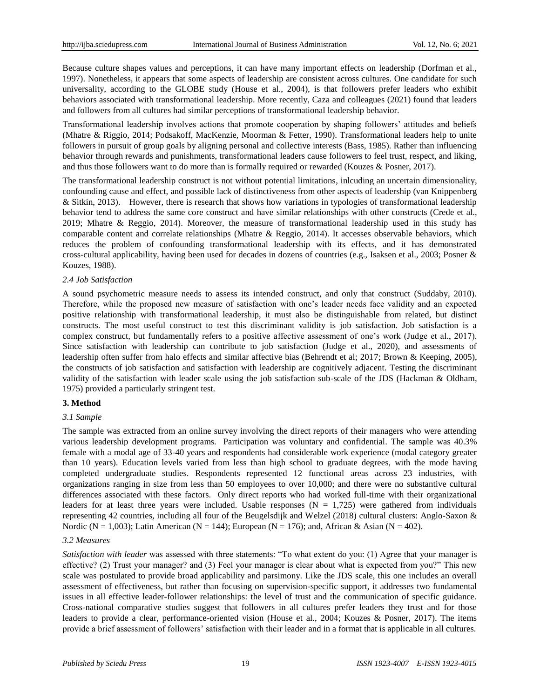Because culture shapes values and perceptions, it can have many important effects on leadership (Dorfman et al., 1997). Nonetheless, it appears that some aspects of leadership are consistent across cultures. One candidate for such universality, according to the GLOBE study (House et al., 2004), is that followers prefer leaders who exhibit behaviors associated with transformational leadership. More recently, Caza and colleagues (2021) found that leaders and followers from all cultures had similar perceptions of transformational leadership behavior.

Transformational leadership involves actions that promote cooperation by shaping followers' attitudes and beliefs (Mhatre & Riggio, 2014; Podsakoff, MacKenzie, Moorman & Fetter, 1990). Transformational leaders help to unite followers in pursuit of group goals by aligning personal and collective interests (Bass, 1985). Rather than influencing behavior through rewards and punishments, transformational leaders cause followers to feel trust, respect, and liking, and thus those followers want to do more than is formally required or rewarded (Kouzes & Posner, 2017).

The transformational leadership construct is not without potential limitations, inlcuding an uncertain dimensionality, confounding cause and effect, and possible lack of distinctiveness from other aspects of leadership (van Knippenberg & Sitkin, 2013). However, there is research that shows how variations in typologies of transformational leadership behavior tend to address the same core construct and have similar relationships with other constructs (Crede et al., 2019; Mhatre & Reggio, 2014). Moreover, the measure of transformational leadership used in this study has comparable content and correlate relationships (Mhatre & Reggio, 2014). It accesses observable behaviors, which reduces the problem of confounding transformational leadership with its effects, and it has demonstrated cross-cultural applicability, having been used for decades in dozens of countries (e.g., Isaksen et al., 2003; Posner & Kouzes, 1988).

#### *2.4 Job Satisfaction*

A sound psychometric measure needs to assess its intended construct, and only that construct (Suddaby, 2010). Therefore, while the proposed new measure of satisfaction with one's leader needs face validity and an expected positive relationship with transformational leadership, it must also be distinguishable from related, but distinct constructs. The most useful construct to test this discriminant validity is job satisfaction. Job satisfaction is a complex construct, but fundamentally refers to a positive affective assessment of one's work (Judge et al., 2017). Since satisfaction with leadership can contribute to job satisfaction (Judge et al., 2020), and assessments of leadership often suffer from halo effects and similar affective bias (Behrendt et al; 2017; Brown & Keeping, 2005), the constructs of job satisfaction and satisfaction with leadership are cognitively adjacent. Testing the discriminant validity of the satisfaction with leader scale using the job satisfaction sub-scale of the JDS (Hackman & Oldham, 1975) provided a particularly stringent test.

#### **3. Method**

#### *3.1 Sample*

The sample was extracted from an online survey involving the direct reports of their managers who were attending various leadership development programs. Participation was voluntary and confidential. The sample was 40.3% female with a modal age of 33-40 years and respondents had considerable work experience (modal category greater than 10 years). Education levels varied from less than high school to graduate degrees, with the mode having completed undergraduate studies. Respondents represented 12 functional areas across 23 industries, with organizations ranging in size from less than 50 employees to over 10,000; and there were no substantive cultural differences associated with these factors. Only direct reports who had worked full-time with their organizational leaders for at least three years were included. Usable responses  $(N = 1.725)$  were gathered from individuals representing 42 countries, including all four of the Beugelsdijk and Welzel (2018) cultural clusters: Anglo-Saxon & Nordic (N = 1,003); Latin American (N = 144); European (N = 176); and, African & Asian (N = 402).

#### *3.2 Measures*

*Satisfaction with leader* was assessed with three statements: "To what extent do you: (1) Agree that your manager is effective? (2) Trust your manager? and (3) Feel your manager is clear about what is expected from you?" This new scale was postulated to provide broad applicability and parsimony. Like the JDS scale, this one includes an overall assessment of effectiveness, but rather than focusing on supervision-specific support, it addresses two fundamental issues in all effective leader-follower relationships: the level of trust and the communication of specific guidance. Cross-national comparative studies suggest that followers in all cultures prefer leaders they trust and for those leaders to provide a clear, performance-oriented vision (House et al., 2004; Kouzes & Posner, 2017). The items provide a brief assessment of followers' satisfaction with their leader and in a format that is applicable in all cultures.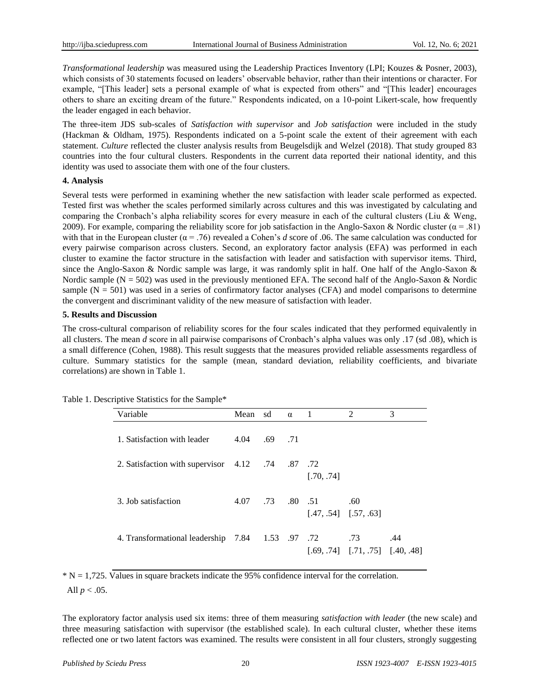*Transformational leadership* was measured using the Leadership Practices Inventory (LPI; Kouzes & Posner, 2003), which consists of 30 statements focused on leaders' observable behavior, rather than their intentions or character. For example, "[This leader] sets a personal example of what is expected from others" and "[This leader] encourages others to share an exciting dream of the future." Respondents indicated, on a 10-point Likert-scale, how frequently the leader engaged in each behavior.

The three-item JDS sub-scales of *Satisfaction with supervisor* and *Job satisfaction* were included in the study (Hackman & Oldham, 1975). Respondents indicated on a 5-point scale the extent of their agreement with each statement. *Culture* reflected the cluster analysis results from Beugelsdijk and Welzel (2018). That study grouped 83 countries into the four cultural clusters. Respondents in the current data reported their national identity, and this identity was used to associate them with one of the four clusters.

## **4. Analysis**

Several tests were performed in examining whether the new satisfaction with leader scale performed as expected. Tested first was whether the scales performed similarly across cultures and this was investigated by calculating and comparing the Cronbach's alpha reliability scores for every measure in each of the cultural clusters (Liu & Weng, 2009). For example, comparing the reliability score for job satisfaction in the Anglo-Saxon & Nordic cluster  $(\alpha = .81)$ with that in the European cluster ( $\alpha$  = .76) revealed a Cohen's *d* score of .06. The same calculation was conducted for every pairwise comparison across clusters. Second, an exploratory factor analysis (EFA) was performed in each cluster to examine the factor structure in the satisfaction with leader and satisfaction with supervisor items. Third, since the Anglo-Saxon & Nordic sample was large, it was randomly split in half. One half of the Anglo-Saxon & Nordic sample  $(N = 502)$  was used in the previously mentioned EFA. The second half of the Anglo-Saxon & Nordic sample  $(N = 501)$  was used in a series of confirmatory factor analyses (CFA) and model comparisons to determine the convergent and discriminant validity of the new measure of satisfaction with leader.

#### **5. Results and Discussion**

The cross-cultural comparison of reliability scores for the four scales indicated that they performed equivalently in all clusters. The mean *d* score in all pairwise comparisons of Cronbach's alpha values was only .17 (sd .08), which is a small difference (Cohen, 1988). This result suggests that the measures provided reliable assessments regardless of culture. Summary statistics for the sample (mean, standard deviation, reliability coefficients, and bivariate correlations) are shown in Table 1.

| Variable                                         | Mean sd |           | $\alpha$ | $\blacksquare$ | $\mathfrak{D}$                                | 3   |
|--------------------------------------------------|---------|-----------|----------|----------------|-----------------------------------------------|-----|
| 1. Satisfaction with leader                      | 4.04    | $.69$ .71 |          |                |                                               |     |
| 2. Satisfaction with supervisor 4.12 .74 .87 .72 |         |           |          | [.70, .74]     |                                               |     |
| 3. Job satisfaction                              | 4.07    |           |          | .73 .80 .51    | .60<br>$[.47, .54]$ $[.57, .63]$              |     |
| 4. Transformational leadership 7.84 1.53 .97 .72 |         |           |          |                | .73<br>$[.69, .74]$ $[.71, .75]$ $[.40, .48]$ | .44 |

Table 1. Descriptive Statistics for the Sample\*

 $* N = 1,725$ . Values in square brackets indicate the 95% confidence interval for the correlation. All  $p < .05$ .

The exploratory factor analysis used six items: three of them measuring *satisfaction with leader* (the new scale) and three measuring satisfaction with supervisor (the established scale). In each cultural cluster, whether these items reflected one or two latent factors was examined. The results were consistent in all four clusters, strongly suggesting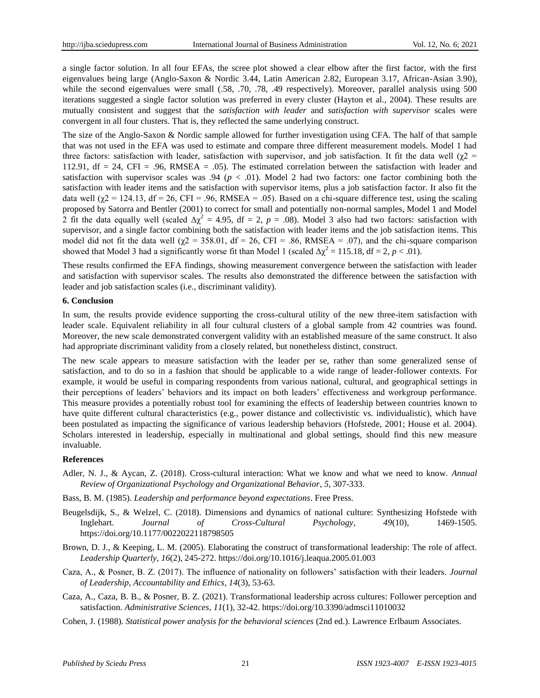a single factor solution. In all four EFAs, the scree plot showed a clear elbow after the first factor, with the first eigenvalues being large (Anglo-Saxon & Nordic 3.44, Latin American 2.82, European 3.17, African-Asian 3.90), while the second eigenvalues were small (.58, .70, .78, .49 respectively). Moreover, parallel analysis using 500 iterations suggested a single factor solution was preferred in every cluster (Hayton et al., 2004). These results are mutually consistent and suggest that the *satisfaction with leader* and *satisfaction with supervisor* scales were convergent in all four clusters. That is, they reflected the same underlying construct.

The size of the Anglo-Saxon & Nordic sample allowed for further investigation using CFA. The half of that sample that was not used in the EFA was used to estimate and compare three different measurement models. Model 1 had three factors: satisfaction with leader, satisfaction with supervisor, and job satisfaction. It fit the data well (χ2 = 112.91, df = 24, CFI = .96, RMSEA = .05). The estimated correlation between the satisfaction with leader and satisfaction with supervisor scales was .94 ( $p < .01$ ). Model 2 had two factors: one factor combining both the satisfaction with leader items and the satisfaction with supervisor items, plus a job satisfaction factor. It also fit the data well ( $\chi$ 2 = 124.13, df = 26, CFI = .96, RMSEA = .05). Based on a chi-square difference test, using the scaling proposed by Satorra and Bentler (2001) to correct for small and potentially non-normal samples, Model 1 and Model 2 fit the data equally well (scaled  $\Delta \chi^2 = 4.95$ , df = 2,  $p = .08$ ). Model 3 also had two factors: satisfaction with supervisor, and a single factor combining both the satisfaction with leader items and the job satisfaction items. This model did not fit the data well  $(\gamma 2 = 358.01, df = 26, CFI = .86, RMSEA = .07)$ , and the chi-square comparison showed that Model 3 had a significantly worse fit than Model 1 (scaled  $\Delta \chi^2 = 115.18$ , df = 2, *p* < .01).

These results confirmed the EFA findings, showing measurement convergence between the satisfaction with leader and satisfaction with supervisor scales. The results also demonstrated the difference between the satisfaction with leader and job satisfaction scales (i.e., discriminant validity).

#### **6. Conclusion**

In sum, the results provide evidence supporting the cross-cultural utility of the new three-item satisfaction with leader scale. Equivalent reliability in all four cultural clusters of a global sample from 42 countries was found. Moreover, the new scale demonstrated convergent validity with an established measure of the same construct. It also had appropriate discriminant validity from a closely related, but nonetheless distinct, construct.

The new scale appears to measure satisfaction with the leader per se, rather than some generalized sense of satisfaction, and to do so in a fashion that should be applicable to a wide range of leader-follower contexts. For example, it would be useful in comparing respondents from various national, cultural, and geographical settings in their perceptions of leaders' behaviors and its impact on both leaders' effectiveness and workgroup performance. This measure provides a potentially robust tool for examining the effects of leadership between countries known to have quite different cultural characteristics (e.g., power distance and collectivistic vs. individualistic), which have been postulated as impacting the significance of various leadership behaviors (Hofstede, 2001; House et al. 2004). Scholars interested in leadership, especially in multinational and global settings, should find this new measure invaluable.

#### **References**

- Adler, N. J., & Aycan, Z. (2018). Cross-cultural interaction: What we know and what we need to know. *Annual Review of Organizational Psychology and Organizational Behavior*, *5*, 307-333.
- Bass, B. M. (1985). *Leadership and performance beyond expectations*. Free Press.
- Beugelsdijk, S., & Welzel, C. (2018). Dimensions and dynamics of national culture: Synthesizing Hofstede with Inglehart. *Journal of Cross-Cultural Psychology*, *49*(10), 1469-1505. https://doi.org/10.1177/0022022118798505
- Brown, D. J., & Keeping, L. M. (2005). Elaborating the construct of transformational leadership: The role of affect. *Leadership Quarterly*, *16*(2), 245-272. https://doi.org/10.1016/j.leaqua.2005.01.003
- Caza, A., & Posner, B. Z. (2017). The influence of nationality on followers' satisfaction with their leaders. *Journal of Leadership, Accountability and Ethics*, *14*(3), 53-63.
- Caza, A., Caza, B. B., & Posner, B. Z. (2021). Transformational leadership across cultures: Follower perception and satisfaction. *Administrative Sciences*, *11*(1), 32-42. https://doi.org/10.3390/admsci11010032
- Cohen, J. (1988). *Statistical power analysis for the behavioral sciences* (2nd ed.). Lawrence Erlbaum Associates.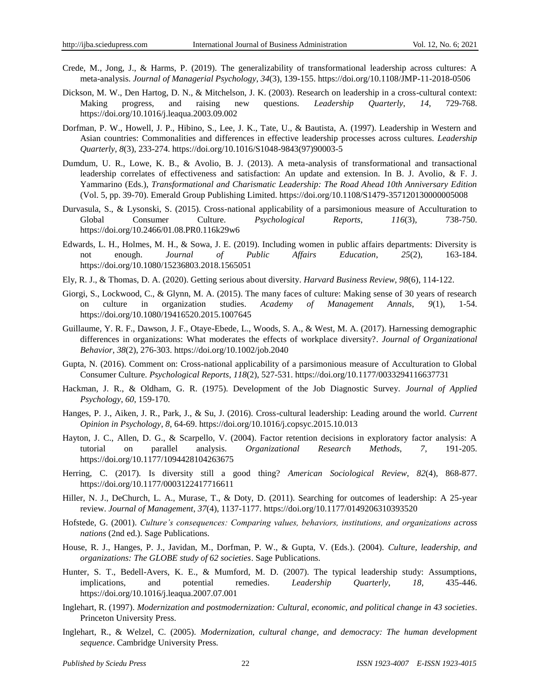- Crede, M., Jong, J., & Harms, P. (2019). The generalizability of transformational leadership across cultures: A meta-analysis. *Journal of Managerial Psychology*, *34*(3), 139-155. https://doi.org/10.1108/JMP-11-2018-0506
- Dickson, M. W., Den Hartog, D. N., & Mitchelson, J. K. (2003). Research on leadership in a cross-cultural context: Making progress, and raising new questions. *Leadership Quarterly*, *14*, 729-768. https://doi.org/10.1016/j.leaqua.2003.09.002
- Dorfman, P. W., Howell, J. P., Hibino, S., Lee, J. K., Tate, U., & Bautista, A. (1997). Leadership in Western and Asian countries: Commonalities and differences in effective leadership processes across cultures. *Leadership Quarterly*, *8*(3), 233-274. https://doi.org/10.1016/S1048-9843(97)90003-5
- Dumdum, U. R., Lowe, K. B., & Avolio, B. J. (2013). A meta-analysis of transformational and transactional leadership correlates of effectiveness and satisfaction: An update and extension. In B. J. Avolio, & F. J. Yammarino (Eds.), *Transformational and Charismatic Leadership: The Road Ahead 10th Anniversary Edition* (Vol. 5, pp. 39-70). Emerald Group Publishing Limited. https://doi.org/10.1108/S1479-357120130000005008
- Durvasula, S., & Lysonski, S. (2015). Cross-national applicability of a parsimonious measure of Acculturation to Global Consumer Culture. *Psychological Reports*, *116*(3), 738-750. https://doi.org/10.2466/01.08.PR0.116k29w6
- Edwards, L. H., Holmes, M. H., & Sowa, J. E. (2019). Including women in public affairs departments: Diversity is not enough. *Journal of Public Affairs Education*, *25*(2), 163-184. https://doi.org/10.1080/15236803.2018.1565051
- Ely, R. J., & Thomas, D. A. (2020). Getting serious about diversity. *Harvard Business Review*, *98*(6), 114-122.
- Giorgi, S., Lockwood, C., & Glynn, M. A. (2015). The many faces of culture: Making sense of 30 years of research on culture in organization studies. *Academy of Management Annals*, *9*(1), 1-54. https://doi.org/10.1080/19416520.2015.1007645
- Guillaume, Y. R. F., Dawson, J. F., Otaye-Ebede, L., Woods, S. A., & West, M. A. (2017). Harnessing demographic differences in organizations: What moderates the effects of workplace diversity?. *Journal of Organizational Behavior*, *38*(2), 276-303. https://doi.org/10.1002/job.2040
- Gupta, N. (2016). Comment on: Cross-national applicability of a parsimonious measure of Acculturation to Global Consumer Culture. *Psychological Reports*, *118*(2), 527-531. https://doi.org/10.1177/0033294116637731
- Hackman, J. R., & Oldham, G. R. (1975). Development of the Job Diagnostic Survey. *Journal of Applied Psychology*, *60*, 159-170.
- Hanges, P. J., Aiken, J. R., Park, J., & Su, J. (2016). Cross-cultural leadership: Leading around the world. *Current Opinion in Psychology*, *8*, 64-69. https://doi.org/10.1016/j.copsyc.2015.10.013
- Hayton, J. C., Allen, D. G., & Scarpello, V. (2004). Factor retention decisions in exploratory factor analysis: A tutorial on parallel analysis. *Organizational Research Methods*, *7*, 191-205. https://doi.org/10.1177/1094428104263675
- Herring, C. (2017). Is diversity still a good thing? *American Sociological Review*, *82*(4), 868-877. https://doi.org/10.1177/0003122417716611
- Hiller, N. J., DeChurch, L. A., Murase, T., & Doty, D. (2011). Searching for outcomes of leadership: A 25-year review. *Journal of Management*, *37*(4), 1137-1177. https://doi.org/10.1177/0149206310393520
- Hofstede, G. (2001). *Culture's consequences: Comparing values, behaviors, institutions, and organizations across nations* (2nd ed.). Sage Publications.
- House, R. J., Hanges, P. J., Javidan, M., Dorfman, P. W., & Gupta, V. (Eds.). (2004). *Culture, leadership, and organizations: The GLOBE study of 62 societies*. Sage Publications.
- Hunter, S. T., Bedell-Avers, K. E., & Mumford, M. D. (2007). The typical leadership study: Assumptions, implications, and potential remedies. *Leadership Quarterly*, *18*, 435-446. https://doi.org/10.1016/j.leaqua.2007.07.001
- Inglehart, R. (1997). *Modernization and postmodernization: Cultural, economic, and political change in 43 societies*. Princeton University Press.
- Inglehart, R., & Welzel, C. (2005). *Modernization, cultural change, and democracy: The human development sequence*. Cambridge University Press.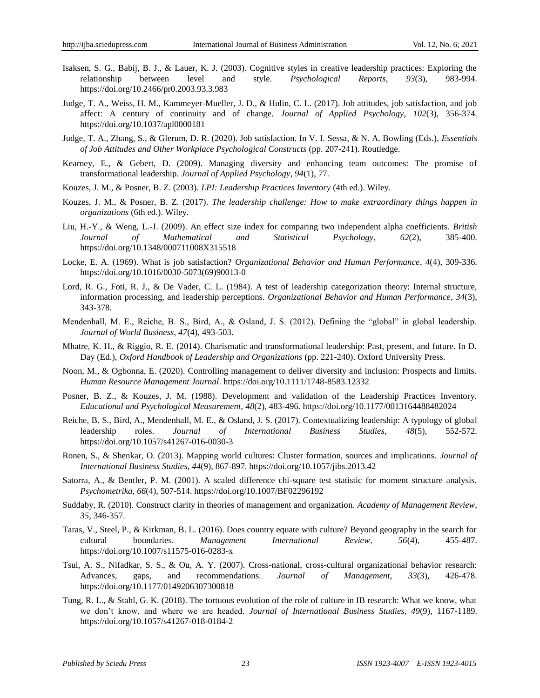- Isaksen, S. G., Babij, B. J., & Lauer, K. J. (2003). Cognitive styles in creative leadership practices: Exploring the relationship between level and style. *Psychological Reports*, *93*(3), 983-994. https://doi.org/10.2466/pr0.2003.93.3.983
- Judge, T. A., Weiss, H. M., Kammeyer-Mueller, J. D., & Hulin, C. L. (2017). Job attitudes, job satisfaction, and job affect: A century of continuity and of change. *Journal of Applied Psychology*, *102*(3), 356-374. https://doi.org/10.1037/apl0000181
- Judge, T. A., Zhang, S., & Glerum, D. R. (2020). Job satisfaction. In V. I. Sessa, & N. A. Bowling (Eds.), *Essentials of Job Attitudes and Other Workplace Psychological Constructs* (pp. 207-241). Routledge.
- Kearney, E., & Gebert, D. (2009). Managing diversity and enhancing team outcomes: The promise of transformational leadership. *Journal of Applied Psychology*, *94*(1), 77.
- Kouzes, J. M., & Posner, B. Z. (2003). *LPI: Leadership Practices Inventory* (4th ed.). Wiley.
- Kouzes, J. M., & Posner, B. Z. (2017). *The leadership challenge: How to make extraordinary things happen in organizations* (6th ed.). Wiley.
- Liu, H.-Y., & Weng, L.-J. (2009). An effect size index for comparing two independent alpha coefficients. *British Journal of Mathematical and Statistical Psychology*, *62*(2), 385-400. https://doi.org/10.1348/000711008X315518
- Locke, E. A. (1969). What is job satisfaction? *Organizational Behavior and Human Performance*, *4*(4), 309-336. https://doi.org/10.1016/0030-5073(69)90013-0
- Lord, R. G., Foti, R. J., & De Vader, C. L. (1984). A test of leadership categorization theory: Internal structure, information processing, and leadership perceptions. *Organizational Behavior and Human Performance*, *34*(3), 343-378.
- Mendenhall, M. E., Reiche, B. S., Bird, A., & Osland, J. S. (2012). Defining the "global" in global leadership. *Journal of World Business*, *47*(4), 493-503.
- Mhatre, K. H., & Riggio, R. E. (2014). Charismatic and transformational leadership: Past, present, and future. In D. Day (Ed.), *Oxford Handbook of Leadership and Organizations* (pp. 221-240). Oxford University Press.
- Noon, M., & Ogbonna, E. (2020). Controlling management to deliver diversity and inclusion: Prospects and limits. *Human Resource Management Journal*. https://doi.org/10.1111/1748-8583.12332
- Posner, B. Z., & Kouzes, J. M. (1988). Development and validation of the Leadership Practices Inventory. *Educational and Psychological Measurement*, *48*(2), 483-496. https://doi.org/10.1177/0013164488482024
- Reiche, B. S., Bird, A., Mendenhall, M. E., & Osland, J. S. (2017). Contextualizing leadership: A typology of global leadership roles. *Journal of International Business Studies*, *48*(5), 552-572. https://doi.org/10.1057/s41267-016-0030-3
- Ronen, S., & Shenkar, O. (2013). Mapping world cultures: Cluster formation, sources and implications. *Journal of International Business Studies*, *44*(9), 867-897. https://doi.org/10.1057/jibs.2013.42
- Satorra, A., & Bentler, P. M. (2001). A scaled difference chi-square test statistic for moment structure analysis. *Psychometrika*, *66*(4), 507-514. https://doi.org/10.1007/BF02296192
- Suddaby, R. (2010). Construct clarity in theories of management and organization. *Academy of Management Review*, *35*, 346-357.
- Taras, V., Steel, P., & Kirkman, B. L. (2016). Does country equate with culture? Beyond geography in the search for cultural boundaries. *Management International Review*, *56*(4), 455-487. https://doi.org/10.1007/s11575-016-0283-x
- Tsui, A. S., Nifadkar, S. S., & Ou, A. Y. (2007). Cross-national, cross-cultural organizational behavior research: Advances, gaps, and recommendations. *Journal of Management*, *33*(3), 426-478. https://doi.org/10.1177/0149206307300818
- Tung, R. L., & Stahl, G. K. (2018). The tortuous evolution of the role of culture in IB research: What we know, what we don't know, and where we are headed. *Journal of International Business Studies*, *49*(9), 1167-1189. https://doi.org/10.1057/s41267-018-0184-2